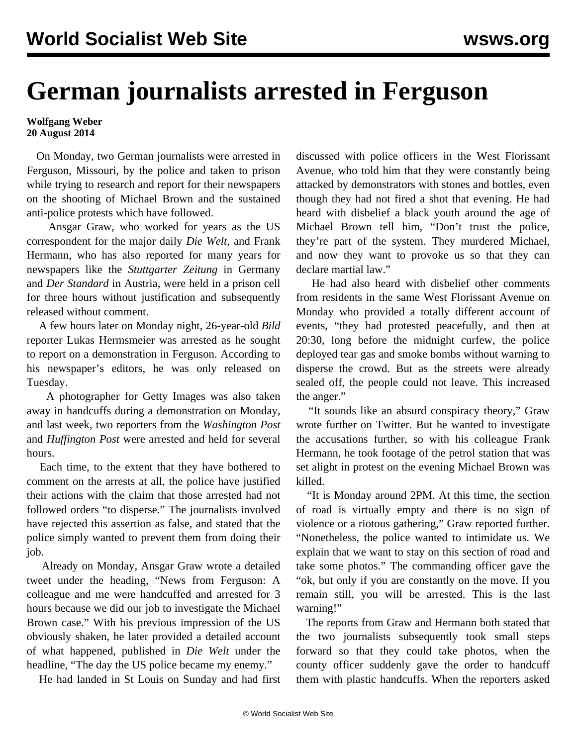## **German journalists arrested in Ferguson**

## **Wolfgang Weber 20 August 2014**

 On Monday, two German journalists were arrested in Ferguson, Missouri, by the police and taken to prison while trying to research and report for their newspapers on the shooting of Michael Brown and the sustained anti-police protests which have followed.

 Ansgar Graw, who worked for years as the US correspondent for the major daily *Die Welt,* and Frank Hermann, who has also reported for many years for newspapers like the *Stuttgarter Zeitung* in Germany and *Der Standard* in Austria, were held in a prison cell for three hours without justification and subsequently released without comment.

 A few hours later on Monday night, 26-year-old *Bild* reporter Lukas Hermsmeier was arrested as he sought to report on a demonstration in Ferguson. According to his newspaper's editors, he was only released on Tuesday.

 A photographer for Getty Images was also taken away in handcuffs during a demonstration on Monday, and last week, two reporters from the *Washington Post* and *Huffington Post* were arrested and held for several hours.

 Each time, to the extent that they have bothered to comment on the arrests at all, the police have justified their actions with the claim that those arrested had not followed orders "to disperse." The journalists involved have rejected this assertion as false, and stated that the police simply wanted to prevent them from doing their job.

 Already on Monday, Ansgar Graw wrote a detailed tweet under the heading, "News from Ferguson: A colleague and me were handcuffed and arrested for 3 hours because we did our job to investigate the Michael Brown case." With his previous impression of the US obviously shaken, he later provided a detailed account of what happened, published in *Die Welt* under the headline, "The day the US police became my enemy."

He had landed in St Louis on Sunday and had first

discussed with police officers in the West Florissant Avenue, who told him that they were constantly being attacked by demonstrators with stones and bottles, even though they had not fired a shot that evening. He had heard with disbelief a black youth around the age of Michael Brown tell him, "Don't trust the police, they're part of the system. They murdered Michael, and now they want to provoke us so that they can declare martial law."

 He had also heard with disbelief other comments from residents in the same West Florissant Avenue on Monday who provided a totally different account of events, "they had protested peacefully, and then at 20:30, long before the midnight curfew, the police deployed tear gas and smoke bombs without warning to disperse the crowd. But as the streets were already sealed off, the people could not leave. This increased the anger."

 "It sounds like an absurd conspiracy theory," Graw wrote further on Twitter. But he wanted to investigate the accusations further, so with his colleague Frank Hermann, he took footage of the petrol station that was set alight in protest on the evening Michael Brown was killed.

 "It is Monday around 2PM. At this time, the section of road is virtually empty and there is no sign of violence or a riotous gathering," Graw reported further. "Nonetheless, the police wanted to intimidate us. We explain that we want to stay on this section of road and take some photos." The commanding officer gave the "ok, but only if you are constantly on the move. If you remain still, you will be arrested. This is the last warning!"

 The reports from Graw and Hermann both stated that the two journalists subsequently took small steps forward so that they could take photos, when the county officer suddenly gave the order to handcuff them with plastic handcuffs. When the reporters asked